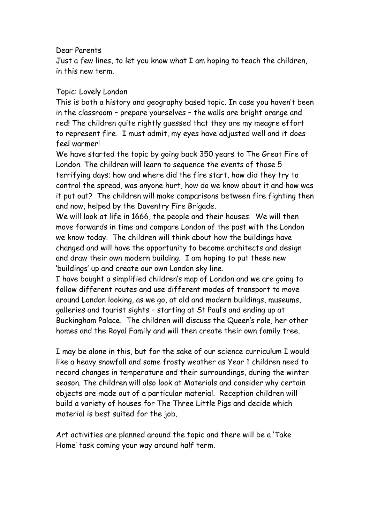## Dear Parents

Just a few lines, to let you know what I am hoping to teach the children, in this new term.

## Topic: Lovely London

This is both a history and geography based topic. In case you haven't been in the classroom – prepare yourselves – the walls are bright orange and red! The children quite rightly guessed that they are my meagre effort to represent fire. I must admit, my eyes have adjusted well and it does feel warmer!

We have started the topic by going back 350 years to The Great Fire of London. The children will learn to sequence the events of those 5 terrifying days; how and where did the fire start, how did they try to control the spread, was anyone hurt, how do we know about it and how was it put out? The children will make comparisons between fire fighting then and now, helped by the Daventry Fire Brigade.

We will look at life in 1666, the people and their houses. We will then move forwards in time and compare London of the past with the London we know today. The children will think about how the buildings have changed and will have the opportunity to become architects and design and draw their own modern building. I am hoping to put these new 'buildings' up and create our own London sky line.

I have bought a simplified children's map of London and we are going to follow different routes and use different modes of transport to move around London looking, as we go, at old and modern buildings, museums, galleries and tourist sights – starting at St Paul's and ending up at Buckingham Palace. The children will discuss the Queen's role, her other homes and the Royal Family and will then create their own family tree.

I may be alone in this, but for the sake of our science curriculum I would like a heavy snowfall and some frosty weather as Year 1 children need to record changes in temperature and their surroundings, during the winter season. The children will also look at Materials and consider why certain objects are made out of a particular material. Reception children will build a variety of houses for The Three Little Pigs and decide which material is best suited for the job.

Art activities are planned around the topic and there will be a 'Take Home' task coming your way around half term.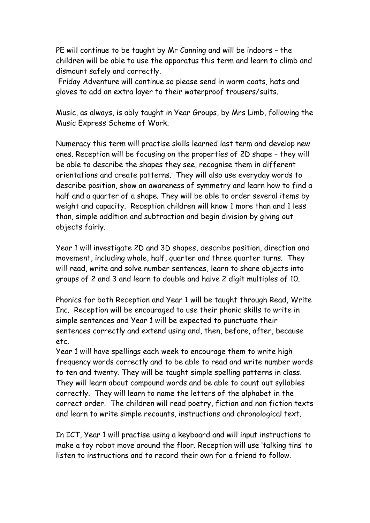PE will continue to be taught by Mr Canning and will be indoors – the children will be able to use the apparatus this term and learn to climb and dismount safely and correctly.

Friday Adventure will continue so please send in warm coats, hats and gloves to add an extra layer to their waterproof trousers/suits.

Music, as always, is ably taught in Year Groups, by Mrs Limb, following the Music Express Scheme of Work.

Numeracy this term will practise skills learned last term and develop new ones. Reception will be focusing on the properties of 2D shape – they will be able to describe the shapes they see, recognise them in different orientations and create patterns. They will also use everyday words to describe position, show an awareness of symmetry and learn how to find a half and a quarter of a shape. They will be able to order several items by weight and capacity. Reception children will know 1 more than and 1 less than, simple addition and subtraction and begin division by giving out objects fairly.

Year 1 will investigate 2D and 3D shapes, describe position, direction and movement, including whole, half, quarter and three quarter turns. They will read, write and solve number sentences, learn to share objects into groups of 2 and 3 and learn to double and halve 2 digit multiples of 10.

Phonics for both Reception and Year 1 will be taught through Read, Write Inc. Reception will be encouraged to use their phonic skills to write in simple sentences and Year 1 will be expected to punctuate their sentences correctly and extend using and, then, before, after, because etc.

Year 1 will have spellings each week to encourage them to write high frequency words correctly and to be able to read and write number words to ten and twenty. They will be taught simple spelling patterns in class. They will learn about compound words and be able to count out syllables correctly. They will learn to name the letters of the alphabet in the correct order. The children will read poetry, fiction and non fiction texts and learn to write simple recounts, instructions and chronological text.

In ICT, Year 1 will practise using a keyboard and will input instructions to make a toy robot move around the floor. Reception will use 'talking tins' to listen to instructions and to record their own for a friend to follow.